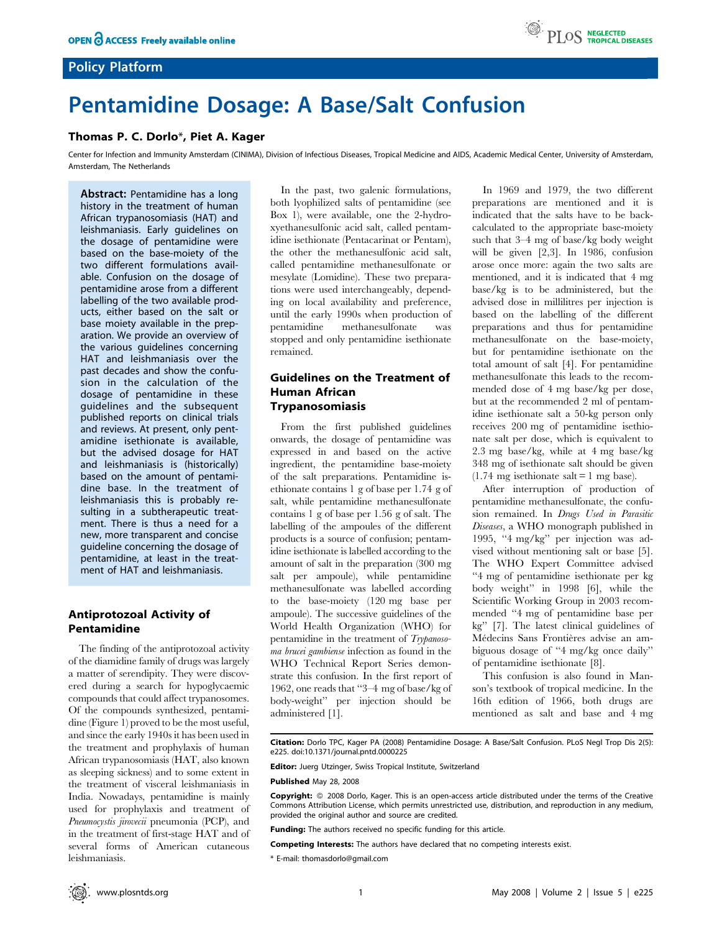# Policy Platform

# Pentamidine Dosage: A Base/Salt Confusion

## Thomas P. C. Dorlo\*, Piet A. Kager

Center for Infection and Immunity Amsterdam (CINIMA), Division of Infectious Diseases, Tropical Medicine and AIDS, Academic Medical Center, University of Amsterdam, Amsterdam, The Netherlands

Abstract: Pentamidine has a long history in the treatment of human African trypanosomiasis (HAT) and leishmaniasis. Early guidelines on the dosage of pentamidine were based on the base-moiety of the two different formulations available. Confusion on the dosage of pentamidine arose from a different labelling of the two available products, either based on the salt or base moiety available in the preparation. We provide an overview of the various guidelines concerning HAT and leishmaniasis over the past decades and show the confusion in the calculation of the dosage of pentamidine in these guidelines and the subsequent published reports on clinical trials and reviews. At present, only pentamidine isethionate is available, but the advised dosage for HAT and leishmaniasis is (historically) based on the amount of pentamidine base. In the treatment of leishmaniasis this is probably resulting in a subtherapeutic treatment. There is thus a need for a new, more transparent and concise guideline concerning the dosage of pentamidine, at least in the treatment of HAT and leishmaniasis.

## Antiprotozoal Activity of Pentamidine

The finding of the antiprotozoal activity of the diamidine family of drugs was largely a matter of serendipity. They were discovered during a search for hypoglycaemic compounds that could affect trypanosomes. Of the compounds synthesized, pentamidine (Figure 1) proved to be the most useful, and since the early 1940s it has been used in the treatment and prophylaxis of human African trypanosomiasis (HAT, also known as sleeping sickness) and to some extent in the treatment of visceral leishmaniasis in India. Nowadays, pentamidine is mainly used for prophylaxis and treatment of Pneumocystis jirovecii pneumonia (PCP), and in the treatment of first-stage HAT and of several forms of American cutaneous leishmaniasis.

In the past, two galenic formulations, both lyophilized salts of pentamidine (see Box 1), were available, one the 2-hydroxyethanesulfonic acid salt, called pentamidine isethionate (Pentacarinat or Pentam), the other the methanesulfonic acid salt, called pentamidine methanesulfonate or mesylate (Lomidine). These two preparations were used interchangeably, depending on local availability and preference, until the early 1990s when production of pentamidine methanesulfonate was stopped and only pentamidine isethionate remained.

# Guidelines on the Treatment of Human African Trypanosomiasis

From the first published guidelines onwards, the dosage of pentamidine was expressed in and based on the active ingredient, the pentamidine base-moiety of the salt preparations. Pentamidine isethionate contains 1 g of base per 1.74 g of salt, while pentamidine methanesulfonate contains 1 g of base per 1.56 g of salt. The labelling of the ampoules of the different products is a source of confusion; pentamidine isethionate is labelled according to the amount of salt in the preparation (300 mg salt per ampoule), while pentamidine methanesulfonate was labelled according to the base-moiety (120 mg base per ampoule). The successive guidelines of the World Health Organization (WHO) for pentamidine in the treatment of Trypanosoma brucei gambiense infection as found in the WHO Technical Report Series demonstrate this confusion. In the first report of 1962, one reads that ''3–4 mg of base/kg of body-weight'' per injection should be administered [1].

In 1969 and 1979, the two different preparations are mentioned and it is indicated that the salts have to be backcalculated to the appropriate base-moiety such that 3–4 mg of base/kg body weight will be given [2,3]. In 1986, confusion arose once more: again the two salts are mentioned, and it is indicated that 4 mg base/kg is to be administered, but the advised dose in millilitres per injection is based on the labelling of the different preparations and thus for pentamidine methanesulfonate on the base-moiety, but for pentamidine isethionate on the total amount of salt [4]. For pentamidine methanesulfonate this leads to the recommended dose of 4 mg base/kg per dose, but at the recommended 2 ml of pentamidine isethionate salt a 50-kg person only receives 200 mg of pentamidine isethionate salt per dose, which is equivalent to 2.3 mg base/kg, while at 4 mg base/kg 348 mg of isethionate salt should be given  $(1.74 \text{ mg}$  isethionate salt = 1 mg base).

After interruption of production of pentamidine methanesulfonate, the confusion remained. In Drugs Used in Parasitic Diseases, a WHO monograph published in 1995, ''4 mg/kg'' per injection was advised without mentioning salt or base [5]. The WHO Expert Committee advised ''4 mg of pentamidine isethionate per kg body weight'' in 1998 [6], while the Scientific Working Group in 2003 recommended ''4 mg of pentamidine base per kg'' [7]. The latest clinical guidelines of Médecins Sans Frontières advise an ambiguous dosage of ''4 mg/kg once daily'' of pentamidine isethionate [8].

This confusion is also found in Manson's textbook of tropical medicine. In the 16th edition of 1966, both drugs are mentioned as salt and base and 4 mg

Citation: Dorlo TPC, Kager PA (2008) Pentamidine Dosage: A Base/Salt Confusion. PLoS Negl Trop Dis 2(5): e225. doi:10.1371/journal.pntd.0000225

Editor: Juerg Utzinger, Swiss Tropical Institute, Switzerland

Published May 28, 2008

Copyright:  $\circ$  2008 Dorlo, Kager. This is an open-access article distributed under the terms of the Creative Commons Attribution License, which permits unrestricted use, distribution, and reproduction in any medium, provided the original author and source are credited.

Funding: The authors received no specific funding for this article.

Competing Interests: The authors have declared that no competing interests exist.

\* E-mail: thomasdorlo@gmail.com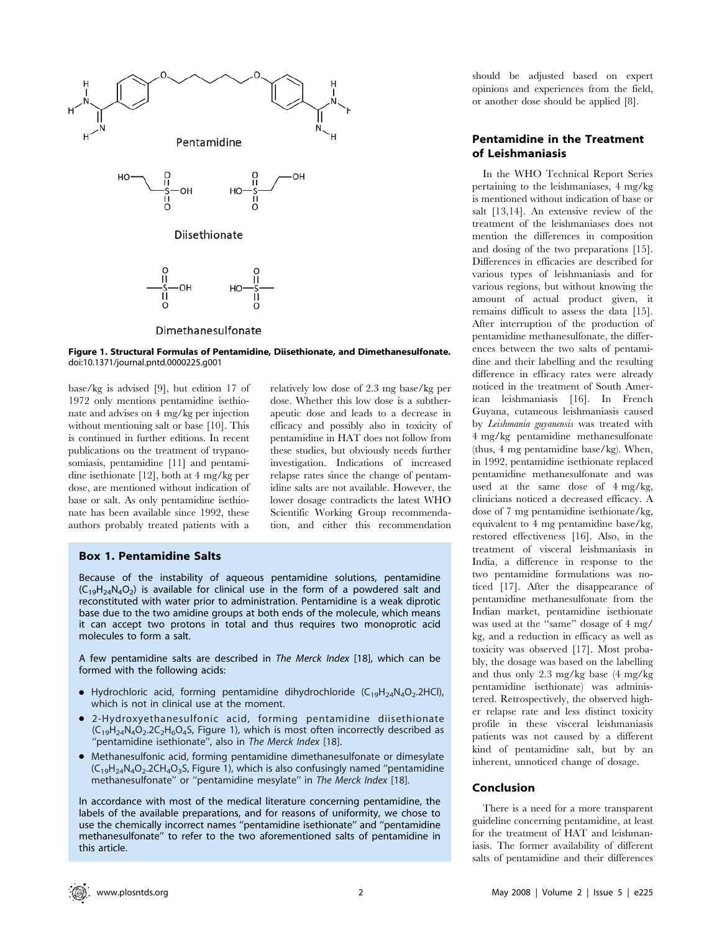

Figure 1. Structural Formulas of Pentamidine, Diisethionate, and Dimethanesulfonate. doi:10.1371/journal.pntd.0000225.g001

base/kg is advised [9], but edition 17 of 1972 only mentions pentamidine isethionate and advises on 4 mg/kg per injection without mentioning salt or base [10]. This is continued in further editions. In recent publications on the treatment of trypanosomiasis, pentamidine [11] and pentamidine isethionate [12], both at 4 mg/kg per dose, are mentioned without indication of base or salt. As only pentamidine isethionate has been available since 1992, these authors probably treated patients with a relatively low dose of 2.3 mg base/kg per dose. Whether this low dose is a subtherapeutic dose and leads to a decrease in efficacy and possibly also in toxicity of pentamidine in HAT does not follow from these studies, but obviously needs further investigation. Indications of increased relapse rates since the change of pentamidine salts are not available. However, the lower dosage contradicts the latest WHO Scientific Working Group recommendation, and either this recommendation

### Box 1. Pentamidine Salts

Because of the instability of aqueous pentamidine solutions, pentamidine  $(C_{19}H_{24}N_4O_2)$  is available for clinical use in the form of a powdered salt and reconstituted with water prior to administration. Pentamidine is a weak diprotic base due to the two amidine groups at both ends of the molecule, which means it can accept two protons in total and thus requires two monoprotic acid molecules to form a salt.

A few pentamidine salts are described in The Merck Index [18], which can be formed with the following acids:

- Hydrochloric acid, forming pentamidine dihydrochloride  $(C_{19}H_{24}N_4O_2.2HCl)$ , which is not in clinical use at the moment.
- N 2-Hydroxyethanesulfonic acid, forming pentamidine diisethionate  $(C_{19}H_{24}N_4O_2.2C_2H_6O_4S$ , Figure 1), which is most often incorrectly described as ''pentamidine isethionate'', also in The Merck Index [18].
- Methanesulfonic acid, forming pentamidine dimethanesulfonate or dimesylate  $(C_{19}H_{24}N_4O_2.2CH_4O_3S$ , Figure 1), which is also confusingly named "pentamidine methanesulfonate'' or ''pentamidine mesylate'' in The Merck Index [18].

In accordance with most of the medical literature concerning pentamidine, the labels of the available preparations, and for reasons of uniformity, we chose to use the chemically incorrect names ''pentamidine isethionate'' and ''pentamidine methanesulfonate'' to refer to the two aforementioned salts of pentamidine in this article.

should be adjusted based on expert opinions and experiences from the field, or another dose should be applied [8].

## Pentamidine in the Treatment of Leishmaniasis

In the WHO Technical Report Series pertaining to the leishmaniases, 4 mg/kg is mentioned without indication of base or salt [13,14]. An extensive review of the treatment of the leishmaniases does not mention the differences in composition and dosing of the two preparations [15]. Differences in efficacies are described for various types of leishmaniasis and for various regions, but without knowing the amount of actual product given, it remains difficult to assess the data [15]. After interruption of the production of pentamidine methanesulfonate, the differences between the two salts of pentamidine and their labelling and the resulting difference in efficacy rates were already noticed in the treatment of South American leishmaniasis [16]. In French Guyana, cutaneous leishmaniasis caused by Leishmania guyanensis was treated with 4 mg/kg pentamidine methanesulfonate (thus, 4 mg pentamidine base/kg). When, in 1992, pentamidine isethionate replaced pentamidine methanesulfonate and was used at the same dose of 4 mg/kg, clinicians noticed a decreased efficacy. A dose of 7 mg pentamidine isethionate/kg, equivalent to 4 mg pentamidine base/kg, restored effectiveness [16]. Also, in the treatment of visceral leishmaniasis in India, a difference in response to the two pentamidine formulations was noticed [17]. After the disappearance of pentamidine methanesulfonate from the Indian market, pentamidine isethionate was used at the ''same'' dosage of 4 mg/ kg, and a reduction in efficacy as well as toxicity was observed [17]. Most probably, the dosage was based on the labelling and thus only 2.3 mg/kg base (4 mg/kg pentamidine isethionate) was administered. Retrospectively, the observed higher relapse rate and less distinct toxicity profile in these visceral leishmaniasis patients was not caused by a different kind of pentamidine salt, but by an inherent, unnoticed change of dosage.

#### Conclusion

There is a need for a more transparent guideline concerning pentamidine, at least for the treatment of HAT and leishmaniasis. The former availability of different salts of pentamidine and their differences